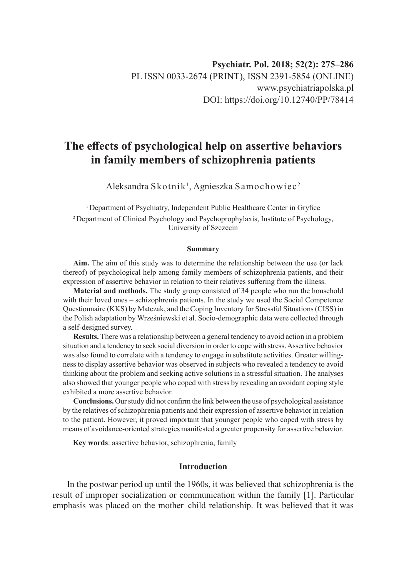# **The effects of psychological help on assertive behaviors in family members of schizophrenia patients**

Aleksandra Skotnik $^{\rm l}$ , Agnieszka Samochowiec $^{\rm 2}$ 

<sup>1</sup>Department of Psychiatry, Independent Public Healthcare Center in Gryfice 2 Department of Clinical Psychology and Psychoprophylaxis, Institute of Psychology, University of Szczecin

#### **Summary**

**Aim.** The aim of this study was to determine the relationship between the use (or lack thereof) of psychological help among family members of schizophrenia patients, and their expression of assertive behavior in relation to their relatives suffering from the illness.

**Material and methods.** The study group consisted of 34 people who run the household with their loved ones – schizophrenia patients. In the study we used the Social Competence Questionnaire (KKS) by Matczak, and the Coping Inventory for Stressful Situations (CISS) in the Polish adaptation by Wrześniewski et al. Socio-demographic data were collected through a self-designed survey.

**Results.** There was a relationship between a general tendency to avoid action in a problem situation and a tendency to seek social diversion in order to cope with stress. Assertive behavior was also found to correlate with a tendency to engage in substitute activities. Greater willingness to display assertive behavior was observed in subjects who revealed a tendency to avoid thinking about the problem and seeking active solutions in a stressful situation. The analyses also showed that younger people who coped with stress by revealing an avoidant coping style exhibited a more assertive behavior.

**Conclusions.** Our study did not confirm the link between the use of psychological assistance by the relatives of schizophrenia patients and their expression of assertive behavior in relation to the patient. However, it proved important that younger people who coped with stress by means of avoidance-oriented strategies manifested a greater propensity for assertive behavior.

**Key words**: assertive behavior, schizophrenia, family

# **Introduction**

In the postwar period up until the 1960s, it was believed that schizophrenia is the result of improper socialization or communication within the family [1]. Particular emphasis was placed on the mother–child relationship. It was believed that it was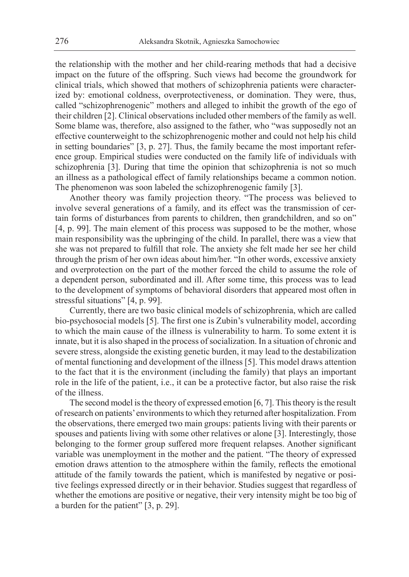the relationship with the mother and her child-rearing methods that had a decisive impact on the future of the offspring. Such views had become the groundwork for clinical trials, which showed that mothers of schizophrenia patients were characterized by: emotional coldness, overprotectiveness, or domination. They were, thus, called "schizophrenogenic" mothers and alleged to inhibit the growth of the ego of their children [2]. Clinical observations included other members of the family as well. Some blame was, therefore, also assigned to the father, who "was supposedly not an effective counterweight to the schizophrenogenic mother and could not help his child in setting boundaries" [3, p. 27]. Thus, the family became the most important reference group. Empirical studies were conducted on the family life of individuals with schizophrenia [3]. During that time the opinion that schizophrenia is not so much an illness as a pathological effect of family relationships became a common notion. The phenomenon was soon labeled the schizophrenogenic family [3].

Another theory was family projection theory. "The process was believed to involve several generations of a family, and its effect was the transmission of certain forms of disturbances from parents to children, then grandchildren, and so on" [4, p. 99]. The main element of this process was supposed to be the mother, whose main responsibility was the upbringing of the child. In parallel, there was a view that she was not prepared to fulfill that role. The anxiety she felt made her see her child through the prism of her own ideas about him/her. "In other words, excessive anxiety and overprotection on the part of the mother forced the child to assume the role of a dependent person, subordinated and ill. After some time, this process was to lead to the development of symptoms of behavioral disorders that appeared most often in stressful situations" [4, p. 99].

Currently, there are two basic clinical models of schizophrenia, which are called bio-psychosocial models [5]. The first one is Zubin's vulnerability model, according to which the main cause of the illness is vulnerability to harm. To some extent it is innate, but it is also shaped in the process of socialization. In a situation of chronic and severe stress, alongside the existing genetic burden, it may lead to the destabilization of mental functioning and development of the illness [5]. This model draws attention to the fact that it is the environment (including the family) that plays an important role in the life of the patient, i.e., it can be a protective factor, but also raise the risk of the illness.

The second model is the theory of expressed emotion [6, 7]. This theory is the result of research on patients' environments to which they returned after hospitalization. From the observations, there emerged two main groups: patients living with their parents or spouses and patients living with some other relatives or alone [3]. Interestingly, those belonging to the former group suffered more frequent relapses. Another significant variable was unemployment in the mother and the patient. "The theory of expressed emotion draws attention to the atmosphere within the family, reflects the emotional attitude of the family towards the patient, which is manifested by negative or positive feelings expressed directly or in their behavior. Studies suggest that regardless of whether the emotions are positive or negative, their very intensity might be too big of a burden for the patient" [3, p. 29].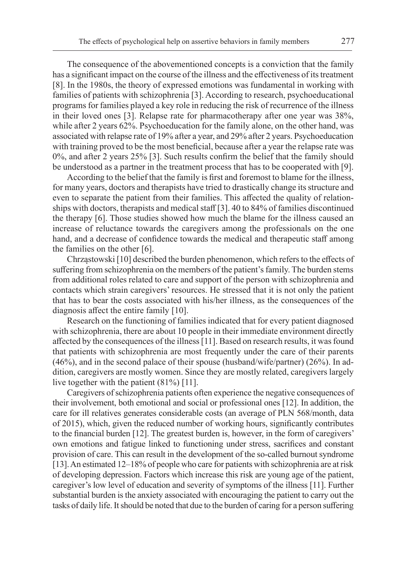The consequence of the abovementioned concepts is a conviction that the family has a significant impact on the course of the illness and the effectiveness of its treatment [8]. In the 1980s, the theory of expressed emotions was fundamental in working with families of patients with schizophrenia [3]. According to research, psychoeducational programs for families played a key role in reducing the risk of recurrence of the illness in their loved ones [3]. Relapse rate for pharmacotherapy after one year was 38%, while after 2 years 62%. Psychoeducation for the family alone, on the other hand, was associated with relapse rate of 19% after a year, and 29% after 2 years. Psychoeducation with training proved to be the most beneficial, because after a year the relapse rate was 0%, and after 2 years 25% [3]. Such results confirm the belief that the family should be understood as a partner in the treatment process that has to be cooperated with [9].

According to the belief that the family is first and foremost to blame for the illness, for many years, doctors and therapists have tried to drastically change its structure and even to separate the patient from their families. This affected the quality of relationships with doctors, therapists and medical staff [3]. 40 to 84% of families discontinued the therapy [6]. Those studies showed how much the blame for the illness caused an increase of reluctance towards the caregivers among the professionals on the one hand, and a decrease of confidence towards the medical and therapeutic staff among the families on the other [6].

Chrząstowski [10] described the burden phenomenon, which refers to the effects of suffering from schizophrenia on the members of the patient's family. The burden stems from additional roles related to care and support of the person with schizophrenia and contacts which strain caregivers' resources. He stressed that it is not only the patient that has to bear the costs associated with his/her illness, as the consequences of the diagnosis affect the entire family [10].

Research on the functioning of families indicated that for every patient diagnosed with schizophrenia, there are about 10 people in their immediate environment directly affected by the consequences of the illness [11]. Based on research results, it was found that patients with schizophrenia are most frequently under the care of their parents (46%), and in the second palace of their spouse (husband/wife/partner) (26%). In addition, caregivers are mostly women. Since they are mostly related, caregivers largely live together with the patient (81%) [11].

Caregivers of schizophrenia patients often experience the negative consequences of their involvement, both emotional and social or professional ones [12]. In addition, the care for ill relatives generates considerable costs (an average of PLN 568/month, data of 2015), which, given the reduced number of working hours, significantly contributes to the financial burden [12]. The greatest burden is, however, in the form of caregivers' own emotions and fatigue linked to functioning under stress, sacrifices and constant provision of care. This can result in the development of the so-called burnout syndrome [13]. An estimated 12–18% of people who care for patients with schizophrenia are at risk of developing depression. Factors which increase this risk are young age of the patient, caregiver's low level of education and severity of symptoms of the illness [11]. Further substantial burden is the anxiety associated with encouraging the patient to carry out the tasks of daily life. It should be noted that due to the burden of caring for a person suffering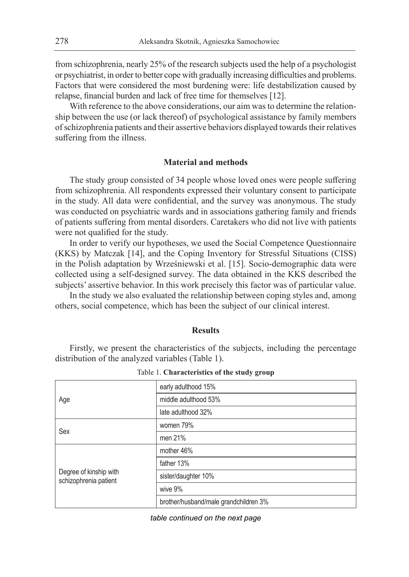from schizophrenia, nearly 25% of the research subjects used the help of a psychologist or psychiatrist, in order to better cope with gradually increasing difficulties and problems. Factors that were considered the most burdening were: life destabilization caused by relapse, financial burden and lack of free time for themselves [12].

With reference to the above considerations, our aim was to determine the relationship between the use (or lack thereof) of psychological assistance by family members of schizophrenia patients and their assertive behaviors displayed towards their relatives suffering from the illness.

# **Material and methods**

The study group consisted of 34 people whose loved ones were people suffering from schizophrenia. All respondents expressed their voluntary consent to participate in the study. All data were confidential, and the survey was anonymous. The study was conducted on psychiatric wards and in associations gathering family and friends of patients suffering from mental disorders. Caretakers who did not live with patients were not qualified for the study.

In order to verify our hypotheses, we used the Social Competence Questionnaire (KKS) by Matczak [14], and the Coping Inventory for Stressful Situations (CISS) in the Polish adaptation by Wrześniewski et al. [15]. Socio-demographic data were collected using a self-designed survey. The data obtained in the KKS described the subjects' assertive behavior. In this work precisely this factor was of particular value.

In the study we also evaluated the relationship between coping styles and, among others, social competence, which has been the subject of our clinical interest.

## **Results**

Firstly, we present the characteristics of the subjects, including the percentage distribution of the analyzed variables (Table 1).

| early adulthood 15%                   |
|---------------------------------------|
| middle adulthood 53%                  |
| late adulthood 32%                    |
| women 79%                             |
| men 21%                               |
| mother 46%                            |
| father 13%                            |
| sister/daughter 10%                   |
| wive 9%                               |
| brother/husband/male grandchildren 3% |
|                                       |

Table 1. **Characteristics of the study group**

*table continued on the next page*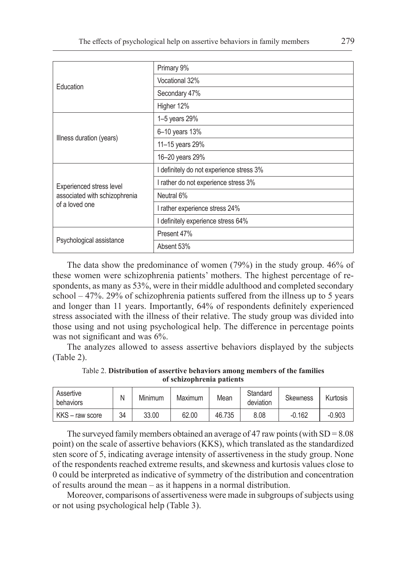| Education                                                                   | Primary 9%                               |  |  |  |  |
|-----------------------------------------------------------------------------|------------------------------------------|--|--|--|--|
|                                                                             | Vocational 32%                           |  |  |  |  |
|                                                                             | Secondary 47%                            |  |  |  |  |
|                                                                             | Higher 12%                               |  |  |  |  |
| Illness duration (years)                                                    | 1-5 years 29%                            |  |  |  |  |
|                                                                             | 6-10 years 13%                           |  |  |  |  |
|                                                                             | 11-15 years 29%                          |  |  |  |  |
|                                                                             | 16-20 years 29%                          |  |  |  |  |
|                                                                             | I definitely do not experience stress 3% |  |  |  |  |
| Experienced stress level<br>associated with schizophrenia<br>of a loved one | I rather do not experience stress 3%     |  |  |  |  |
|                                                                             | Neutral 6%                               |  |  |  |  |
|                                                                             | I rather experience stress 24%           |  |  |  |  |
|                                                                             | I definitely experience stress 64%       |  |  |  |  |
|                                                                             | Present 47%                              |  |  |  |  |
| Psychological assistance                                                    | Absent 53%                               |  |  |  |  |

The data show the predominance of women (79%) in the study group. 46% of these women were schizophrenia patients' mothers. The highest percentage of respondents, as many as 53%, were in their middle adulthood and completed secondary school  $-47\%$ . 29% of schizophrenia patients suffered from the illness up to 5 years and longer than 11 years. Importantly, 64% of respondents definitely experienced stress associated with the illness of their relative. The study group was divided into those using and not using psychological help. The difference in percentage points was not significant and was 6%.

The analyzes allowed to assess assertive behaviors displayed by the subjects (Table 2).

Table 2. **Distribution of assertive behaviors among members of the families of schizophrenia patients**

| Assertive<br>behaviors | N  | Minimum | Maximum | Mean   | Standard<br>deviation | <b>Skewness</b> | Kurtosis |
|------------------------|----|---------|---------|--------|-----------------------|-----------------|----------|
| KKS - raw score        | 34 | 33.00   | 62.00   | 46.735 | 8.08                  | $-0.162$        | $-0.903$ |

The surveyed family members obtained an average of 47 raw points (with  $SD = 8.08$ ) point) on the scale of assertive behaviors (KKS), which translated as the standardized sten score of 5, indicating average intensity of assertiveness in the study group. None of the respondents reached extreme results, and skewness and kurtosis values close to 0 could be interpreted as indicative of symmetry of the distribution and concentration of results around the mean – as it happens in a normal distribution.

Moreover, comparisons of assertiveness were made in subgroups of subjects using or not using psychological help (Table 3).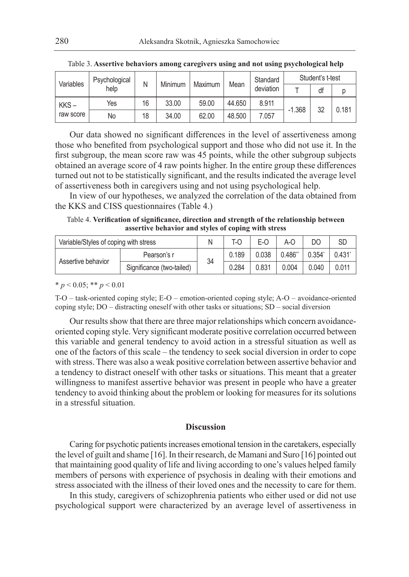| Variables         | Psychological<br>help | N  | Minimum | Maximum | Mean   | Standard<br>deviation | Student's t-test |    |       |
|-------------------|-----------------------|----|---------|---------|--------|-----------------------|------------------|----|-------|
|                   |                       |    |         |         |        |                       |                  | df |       |
| KKS-<br>raw score | Yes                   | 16 | 33.00   | 59.00   | 44.650 | 8.911                 | $-1.368$         | 32 | 0.181 |
|                   | No                    | 18 | 34.00   | 62.00   | 48.500 | 7.057                 |                  |    |       |

Table 3. **Assertive behaviors among caregivers using and not using psychological help**

Our data showed no significant differences in the level of assertiveness among those who benefited from psychological support and those who did not use it. In the first subgroup, the mean score raw was 45 points, while the other subgroup subjects obtained an average score of 4 raw points higher. In the entire group these differences turned out not to be statistically significant, and the results indicated the average level of assertiveness both in caregivers using and not using psychological help.

In view of our hypotheses, we analyzed the correlation of the data obtained from the KKS and CISS questionnaires (Table 4.)

Table 4. **Verification of significance, direction and strength of the relationship between assertive behavior and styles of coping with stress**

| Variable/Styles of coping with stress |                           | Ν  | T-0   | E-O   | A-C    |             | SD    |
|---------------------------------------|---------------------------|----|-------|-------|--------|-------------|-------|
| Assertive behavior                    | Pearson's r               | 34 | 0.189 | 0.038 | 0.486" | $0.354^{*}$ | 0.431 |
|                                       | Significance (two-tailed) |    | 0.284 | 0.831 | 0.004  | 0.040       | 0.011 |

 $* p < 0.05; ** p < 0.01$ 

T-O – task-oriented coping style; E-O – emotion-oriented coping style; A-O – avoidance-oriented coping style; DO – distracting oneself with other tasks or situations; SD – social diversion

Our results show that there are three major relationships which concern avoidanceoriented coping style. Very significant moderate positive correlation occurred between this variable and general tendency to avoid action in a stressful situation as well as one of the factors of this scale – the tendency to seek social diversion in order to cope with stress. There was also a weak positive correlation between assertive behavior and a tendency to distract oneself with other tasks or situations. This meant that a greater willingness to manifest assertive behavior was present in people who have a greater tendency to avoid thinking about the problem or looking for measures for its solutions in a stressful situation.

## **Discussion**

Caring for psychotic patients increases emotional tension in the caretakers, especially the level of guilt and shame [16]. In their research, de Mamani and Suro [16] pointed out that maintaining good quality of life and living according to one's values helped family members of persons with experience of psychosis in dealing with their emotions and stress associated with the illness of their loved ones and the necessity to care for them.

In this study, caregivers of schizophrenia patients who either used or did not use psychological support were characterized by an average level of assertiveness in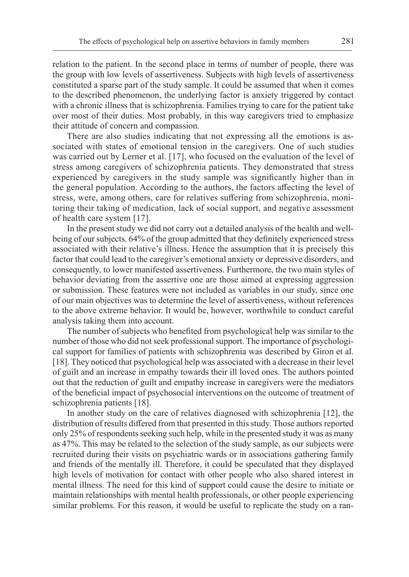relation to the patient. In the second place in terms of number of people, there was the group with low levels of assertiveness. Subjects with high levels of assertiveness constituted a sparse part of the study sample. It could be assumed that when it comes to the described phenomenon, the underlying factor is anxiety triggered by contact with a chronic illness that is schizophrenia. Families trying to care for the patient take over most of their duties. Most probably, in this way caregivers tried to emphasize their attitude of concern and compassion.

There are also studies indicating that not expressing all the emotions is associated with states of emotional tension in the caregivers. One of such studies was carried out by Lerner et al. [17], who focused on the evaluation of the level of stress among caregivers of schizophrenia patients. They demonstrated that stress experienced by caregivers in the study sample was significantly higher than in the general population. According to the authors, the factors affecting the level of stress, were, among others, care for relatives suffering from schizophrenia, monitoring their taking of medication, lack of social support, and negative assessment of health care system [17].

In the present study we did not carry out a detailed analysis of the health and wellbeing of our subjects. 64% of the group admitted that they definitely experienced stress associated with their relative's illness. Hence the assumption that it is precisely this factor that could lead to the caregiver's emotional anxiety or depressive disorders, and consequently, to lower manifested assertiveness. Furthermore, the two main styles of behavior deviating from the assertive one are those aimed at expressing aggression or submission. These features were not included as variables in our study, since one of our main objectives was to determine the level of assertiveness, without references to the above extreme behavior. It would be, however, worthwhile to conduct careful analysis taking them into account.

The number of subjects who benefited from psychological help was similar to the number of those who did not seek professional support. The importance of psychological support for families of patients with schizophrenia was described by Giron et al. [18]. They noticed that psychological help was associated with a decrease in their level of guilt and an increase in empathy towards their ill loved ones. The authors pointed out that the reduction of guilt and empathy increase in caregivers were the mediators of the beneficial impact of psychosocial interventions on the outcome of treatment of schizophrenia patients [18].

In another study on the care of relatives diagnosed with schizophrenia [12], the distribution of results differed from that presented in this study. Those authors reported only 25% of respondents seeking such help, while in the presented study it was as many as 47%. This may be related to the selection of the study sample, as our subjects were recruited during their visits on psychiatric wards or in associations gathering family and friends of the mentally ill. Therefore, it could be speculated that they displayed high levels of motivation for contact with other people who also shared interest in mental illness. The need for this kind of support could cause the desire to initiate or maintain relationships with mental health professionals, or other people experiencing similar problems. For this reason, it would be useful to replicate the study on a ran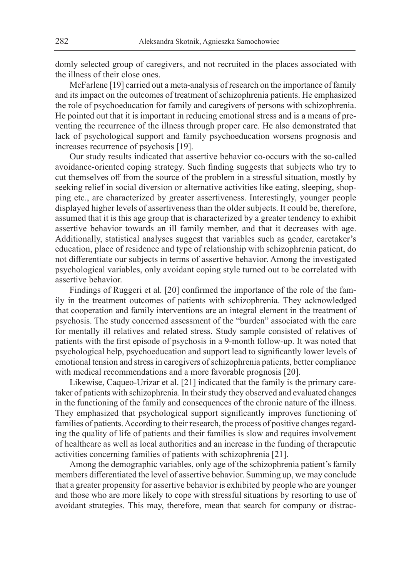domly selected group of caregivers, and not recruited in the places associated with the illness of their close ones.

McFarlene [19] carried out a meta-analysis of research on the importance of family and its impact on the outcomes of treatment of schizophrenia patients. He emphasized the role of psychoeducation for family and caregivers of persons with schizophrenia. He pointed out that it is important in reducing emotional stress and is a means of preventing the recurrence of the illness through proper care. He also demonstrated that lack of psychological support and family psychoeducation worsens prognosis and increases recurrence of psychosis [19].

Our study results indicated that assertive behavior co-occurs with the so-called avoidance-oriented coping strategy. Such finding suggests that subjects who try to cut themselves off from the source of the problem in a stressful situation, mostly by seeking relief in social diversion or alternative activities like eating, sleeping, shopping etc., are characterized by greater assertiveness. Interestingly, younger people displayed higher levels of assertiveness than the older subjects. It could be, therefore, assumed that it is this age group that is characterized by a greater tendency to exhibit assertive behavior towards an ill family member, and that it decreases with age. Additionally, statistical analyses suggest that variables such as gender, caretaker's education, place of residence and type of relationship with schizophrenia patient, do not differentiate our subjects in terms of assertive behavior. Among the investigated psychological variables, only avoidant coping style turned out to be correlated with assertive behavior.

Findings of Ruggeri et al. [20] confirmed the importance of the role of the family in the treatment outcomes of patients with schizophrenia. They acknowledged that cooperation and family interventions are an integral element in the treatment of psychosis. The study concerned assessment of the "burden" associated with the care for mentally ill relatives and related stress. Study sample consisted of relatives of patients with the first episode of psychosis in a 9-month follow-up. It was noted that psychological help, psychoeducation and support lead to significantly lower levels of emotional tension and stress in caregivers of schizophrenia patients, better compliance with medical recommendations and a more favorable prognosis [20].

Likewise, Caqueo-Urízar et al. [21] indicated that the family is the primary caretaker of patients with schizophrenia. In their study they observed and evaluated changes in the functioning of the family and consequences of the chronic nature of the illness. They emphasized that psychological support significantly improves functioning of families of patients. According to their research, the process of positive changes regarding the quality of life of patients and their families is slow and requires involvement of healthcare as well as local authorities and an increase in the funding of therapeutic activities concerning families of patients with schizophrenia [21].

Among the demographic variables, only age of the schizophrenia patient's family members differentiated the level of assertive behavior. Summing up, we may conclude that a greater propensity for assertive behavior is exhibited by people who are younger and those who are more likely to cope with stressful situations by resorting to use of avoidant strategies. This may, therefore, mean that search for company or distrac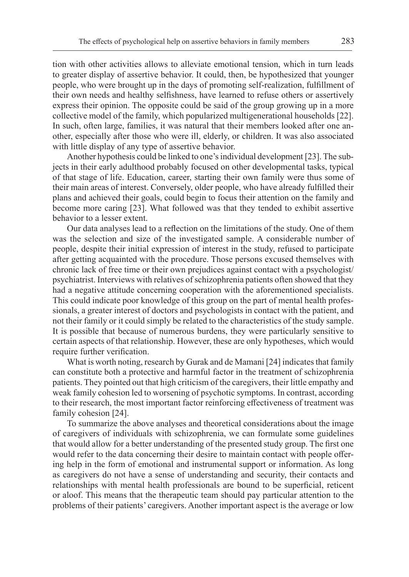tion with other activities allows to alleviate emotional tension, which in turn leads to greater display of assertive behavior. It could, then, be hypothesized that younger people, who were brought up in the days of promoting self-realization, fulfillment of their own needs and healthy selfishness, have learned to refuse others or assertively express their opinion. The opposite could be said of the group growing up in a more collective model of the family, which popularized multigenerational households [22]. In such, often large, families, it was natural that their members looked after one another, especially after those who were ill, elderly, or children. It was also associated with little display of any type of assertive behavior.

Another hypothesis could be linked to one's individual development [23]. The subjects in their early adulthood probably focused on other developmental tasks, typical of that stage of life. Education, career, starting their own family were thus some of their main areas of interest. Conversely, older people, who have already fulfilled their plans and achieved their goals, could begin to focus their attention on the family and become more caring [23]. What followed was that they tended to exhibit assertive behavior to a lesser extent.

Our data analyses lead to a reflection on the limitations of the study. One of them was the selection and size of the investigated sample. A considerable number of people, despite their initial expression of interest in the study, refused to participate after getting acquainted with the procedure. Those persons excused themselves with chronic lack of free time or their own prejudices against contact with a psychologist/ psychiatrist. Interviews with relatives of schizophrenia patients often showed that they had a negative attitude concerning cooperation with the aforementioned specialists. This could indicate poor knowledge of this group on the part of mental health professionals, a greater interest of doctors and psychologists in contact with the patient, and not their family or it could simply be related to the characteristics of the study sample. It is possible that because of numerous burdens, they were particularly sensitive to certain aspects of that relationship. However, these are only hypotheses, which would require further verification.

What is worth noting, research by Gurak and de Mamani [24] indicates that family can constitute both a protective and harmful factor in the treatment of schizophrenia patients. They pointed out that high criticism of the caregivers, their little empathy and weak family cohesion led to worsening of psychotic symptoms. In contrast, according to their research, the most important factor reinforcing effectiveness of treatment was family cohesion [24].

To summarize the above analyses and theoretical considerations about the image of caregivers of individuals with schizophrenia, we can formulate some guidelines that would allow for a better understanding of the presented study group. The first one would refer to the data concerning their desire to maintain contact with people offering help in the form of emotional and instrumental support or information. As long as caregivers do not have a sense of understanding and security, their contacts and relationships with mental health professionals are bound to be superficial, reticent or aloof. This means that the therapeutic team should pay particular attention to the problems of their patients' caregivers. Another important aspect is the average or low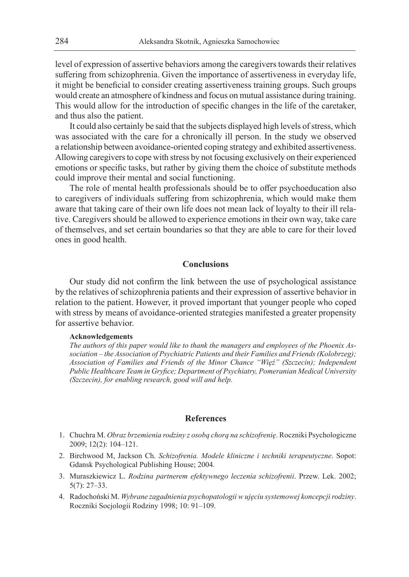level of expression of assertive behaviors among the caregivers towards their relatives suffering from schizophrenia. Given the importance of assertiveness in everyday life, it might be beneficial to consider creating assertiveness training groups. Such groups would create an atmosphere of kindness and focus on mutual assistance during training. This would allow for the introduction of specific changes in the life of the caretaker, and thus also the patient.

It could also certainly be said that the subjects displayed high levels of stress, which was associated with the care for a chronically ill person. In the study we observed a relationship between avoidance-oriented coping strategy and exhibited assertiveness. Allowing caregivers to cope with stress by not focusing exclusively on their experienced emotions or specific tasks, but rather by giving them the choice of substitute methods could improve their mental and social functioning.

The role of mental health professionals should be to offer psychoeducation also to caregivers of individuals suffering from schizophrenia, which would make them aware that taking care of their own life does not mean lack of loyalty to their ill relative. Caregivers should be allowed to experience emotions in their own way, take care of themselves, and set certain boundaries so that they are able to care for their loved ones in good health.

### **Conclusions**

Our study did not confirm the link between the use of psychological assistance by the relatives of schizophrenia patients and their expression of assertive behavior in relation to the patient. However, it proved important that younger people who coped with stress by means of avoidance-oriented strategies manifested a greater propensity for assertive behavior.

#### **Acknowledgements**

*The authors of this paper would like to thank the managers and employees of the Phoenix Association – the Association of Psychiatric Patients and their Families and Friends (Kolobrzeg); Association of Families and Friends of the Minor Chance "Więź" (Szczecin); Independent Public Healthcare Team in Gryfice; Department of Psychiatry, Pomeranian Medical University (Szczecin), for enabling research, good will and help.*

### **References**

- 1. Chuchra M. *Obraz brzemienia rodziny z osobą chorą na schizofrenię*. Roczniki Psychologiczne 2009; 12(2): 104–121.
- 2. Birchwood M, Jackson Ch. *Schizofrenia. Modele kliniczne i techniki terapeutyczne*. Sopot: Gdansk Psychological Publishing House; 2004.
- 3. Muraszkiewicz L. *Rodzina partnerem efektywnego leczenia schizofrenii*. Przew. Lek. 2002; 5(7): 27–33.
- 4. Radochoński M. *Wybrane zagadnienia psychopatologii w ujęciu systemowej koncepcji rodziny*. Roczniki Socjologii Rodziny 1998; 10: 91–109.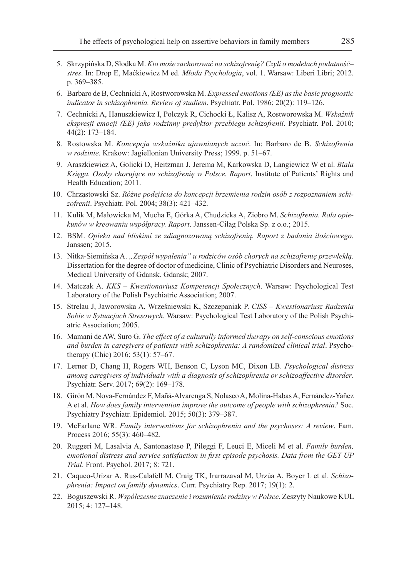- 5. Skrzypińska D, Słodka M. *Kto może zachorować na schizofrenię? Czyli o modelach podatność– stres*. In: Drop E, Maćkiewicz M ed. *Młoda Psychologia*, vol. 1. Warsaw: Liberi Libri; 2012. p. 369–385.
- 6. Barbaro de B, Cechnicki A, Rostworowska M. *Expressed emotions (EE) as the basic prognostic indicator in schizophrenia. Review of studiem*. Psychiatr. Pol. 1986; 20(2): 119–126.
- 7. Cechnicki A, Hanuszkiewicz I, Polczyk R, Cichocki Ł, Kalisz A, Rostworowska M. *Wskaźnik ekspresji emocji (EE) jako rodzinny predyktor przebiegu schizofrenii*. Psychiatr. Pol. 2010; 44(2): 173–184.
- 8. Rostowska M. *Koncepcja wskaźnika ujawnianych uczuć*. In: Barbaro de B. *Schizofrenia w rodzinie*. Krakow: Jagiellonian University Press; 1999. p. 51–67.
- 9. Araszkiewicz A, Golicki D, Heitzman J, Jerema M, Karkowska D, Langiewicz W et al. *Biała Księga. Osoby chorujące na schizofrenię w Polsce. Raport*. Institute of Patients' Rights and Health Education; 2011.
- 10. Chrząstowski Sz. *Różne podejścia do koncepcji brzemienia rodzin osób z rozpoznaniem schizofrenii*. Psychiatr. Pol. 2004; 38(3): 421–432.
- 11. Kulik M, Małowicka M, Mucha E, Górka A, Chudzicka A, Ziobro M. *Schizofrenia. Rola opiekunów w kreowaniu współpracy. Raport*. Janssen-Cilag Polska Sp. z o.o.; 2015.
- 12. BSM. *Opieka nad bliskimi ze zdiagnozowaną schizofrenią. Raport z badania ilościowego*. Janssen; 2015.
- 13. Nitka-Siemińska A. *"Zespół wypalenia" u rodziców osób chorych na schizofrenię przewlekłą*. Dissertation for the degree of doctor of medicine, Clinic of Psychiatric Disorders and Neuroses, Medical University of Gdansk. Gdansk; 2007.
- 14. Matczak A. *KKS Kwestionariusz Kompetencji Społecznych*. Warsaw: Psychological Test Laboratory of the Polish Psychiatric Association; 2007.
- 15. Strelau J, Jaworowska A, Wrześniewski K, Szczepaniak P. *CISS Kwestionariusz Radzenia Sobie w Sytuacjach Stresowych*. Warsaw: Psychological Test Laboratory of the Polish Psychiatric Association; 2005.
- 16. Mamani de AW, Suro G. *The effect of a culturally informed therapy on self-conscious emotions and burden in caregivers of patients with schizophrenia: A randomized clinical trial*. Psychotherapy (Chic) 2016; 53(1): 57–67.
- 17. Lerner D, Chang H, Rogers WH, Benson C, Lyson MC, Dixon LB. *Psychological distress among caregivers of individuals with a diagnosis of schizophrenia or schizoaffective disorder*. Psychiatr. Serv. 2017; 69(2): 169–178.
- 18. Girón M, Nova-Fernández F, Mañá-Alvarenga S, Nolasco A, Molina-Habas A, Fernández-Yañez A et al. *How does family intervention improve the outcome of people with schizophrenia?* Soc. Psychiatry Psychiatr. Epidemiol. 2015; 50(3): 379–387.
- 19. McFarlane WR. *Family interventions for schizophrenia and the psychoses: A review*. Fam. Process 2016; 55(3): 460–482.
- 20. Ruggeri M, Lasalvia A, Santonastaso P, Pileggi F, Leuci E, Miceli M et al. *Family burden, emotional distress and service satisfaction in first episode psychosis. Data from the GET UP Trial*. Front. Psychol. 2017; 8: 721.
- 21. Caqueo-Urízar A, Rus-Calafell M, Craig TK, Irarrazaval M, Urzúa A, Boyer L et al. *Schizophrenia: Impact on family dynamics*. Curr. Psychiatry Rep. 2017; 19(1): 2.
- 22. Boguszewski R. *Współczesne znaczenie i rozumienie rodziny w Polsce*. Zeszyty Naukowe KUL 2015; 4: 127–148.